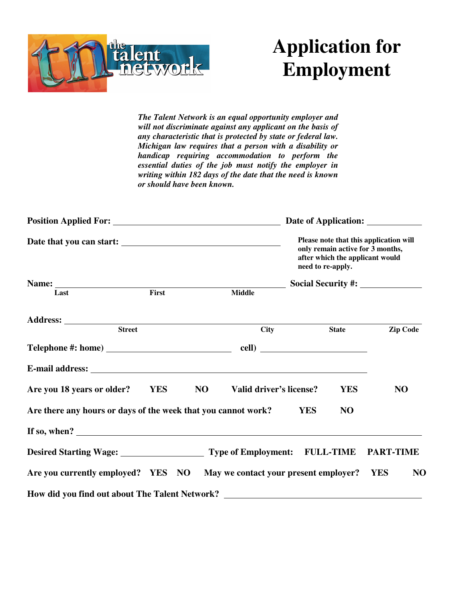

## **Application for Employment**

*The Talent Network is an equal opportunity employer and will not discriminate against any applicant on the basis of any characteristic that is protected by state or federal law. Michigan law requires that a person with a disability or handicap requiring accommodation to perform the essential duties of the job must notify the employer in writing within 182 days of the date that the need is known or should have been known.* 

|                                                                                                                                                                                                                                |            |    |                         | need to re-apply. |                  | Please note that this application will<br>only remain active for 3 months,<br>after which the applicant would |
|--------------------------------------------------------------------------------------------------------------------------------------------------------------------------------------------------------------------------------|------------|----|-------------------------|-------------------|------------------|---------------------------------------------------------------------------------------------------------------|
|                                                                                                                                                                                                                                |            |    |                         |                   |                  |                                                                                                               |
| Last                                                                                                                                                                                                                           | First      |    | <b>Middle</b>           |                   |                  |                                                                                                               |
|                                                                                                                                                                                                                                |            |    |                         |                   |                  |                                                                                                               |
| Street                                                                                                                                                                                                                         |            |    | <b>City</b>             |                   | <b>State</b>     | <b>Zip Code</b>                                                                                               |
|                                                                                                                                                                                                                                |            |    |                         |                   |                  |                                                                                                               |
| E-mail address: No. 1998. The second state of the second state of the second state of the second state of the second state of the second state of the second state of the second state of the second state of the second state |            |    |                         |                   |                  |                                                                                                               |
| Are you 18 years or older?                                                                                                                                                                                                     | <b>YES</b> | NO | Valid driver's license? |                   | <b>YES</b>       | N <sub>O</sub>                                                                                                |
| Are there any hours or days of the week that you cannot work?                                                                                                                                                                  |            |    |                         | <b>YES</b>        | N <sub>O</sub>   |                                                                                                               |
| If so, when? $\qquad \qquad$                                                                                                                                                                                                   |            |    |                         |                   |                  |                                                                                                               |
| Desired Starting Wage: Type of Employment:                                                                                                                                                                                     |            |    |                         |                   | <b>FULL-TIME</b> | <b>PART-TIME</b>                                                                                              |
| Are you currently employed? YES NO May we contact your present employer?                                                                                                                                                       |            |    |                         |                   |                  | <b>YES</b><br>N <sub>O</sub>                                                                                  |
| How did you find out about The Talent Network?                                                                                                                                                                                 |            |    |                         |                   |                  |                                                                                                               |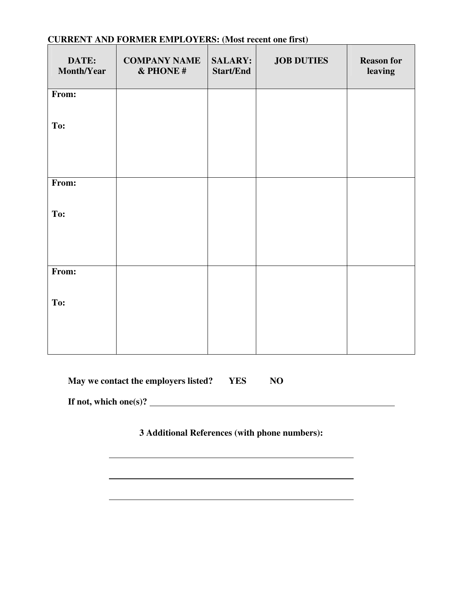| DATE:<br>Month/Year | <b>COMPANY NAME</b><br>& PHONE# | <b>SALARY:</b><br><b>Start/End</b> | <b>JOB DUTIES</b> | <b>Reason for</b><br>leaving |
|---------------------|---------------------------------|------------------------------------|-------------------|------------------------------|
| From:               |                                 |                                    |                   |                              |
| To:                 |                                 |                                    |                   |                              |
| From:               |                                 |                                    |                   |                              |
| To:                 |                                 |                                    |                   |                              |
| From:               |                                 |                                    |                   |                              |
| To:                 |                                 |                                    |                   |                              |

## **CURRENT AND FORMER EMPLOYERS: (Most recent one first)**

| May we contact the employers listed? | YES | NO |
|--------------------------------------|-----|----|
|--------------------------------------|-----|----|

**If not, which one(s)?** 

**3 Additional References (with phone numbers):**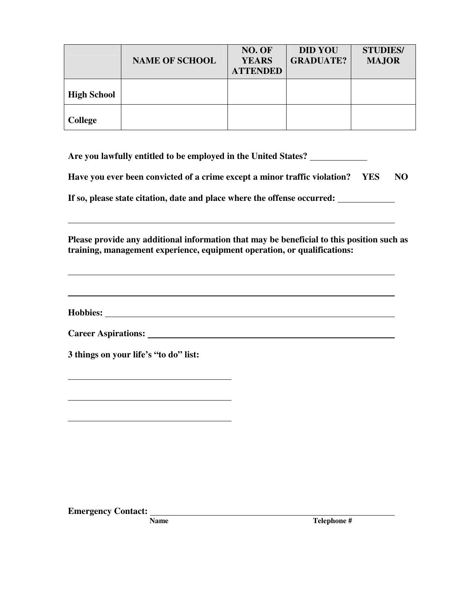|                    | <b>NAME OF SCHOOL</b> | NO. OF<br><b>YEARS</b><br><b>ATTENDED</b> | <b>DID YOU</b><br><b>GRADUATE?</b> | <b>STUDIES/</b><br><b>MAJOR</b> |
|--------------------|-----------------------|-------------------------------------------|------------------------------------|---------------------------------|
| <b>High School</b> |                       |                                           |                                    |                                 |
| <b>College</b>     |                       |                                           |                                    |                                 |

**Are you lawfully entitled to be employed in the United States?** 

**Have you ever been convicted of a crime except a minor traffic violation? YES NO**

**If so, please state citation, date and place where the offense occurred:** 

**Please provide any additional information that may be beneficial to this position such as training, management experience, equipment operation, or qualifications:**

**Hobbies:** 

| <b>Career Aspirations:</b> |
|----------------------------|
|                            |

**3 things on your life's "to do" list:** 

**Emergency Contact:** Name

Telephone #